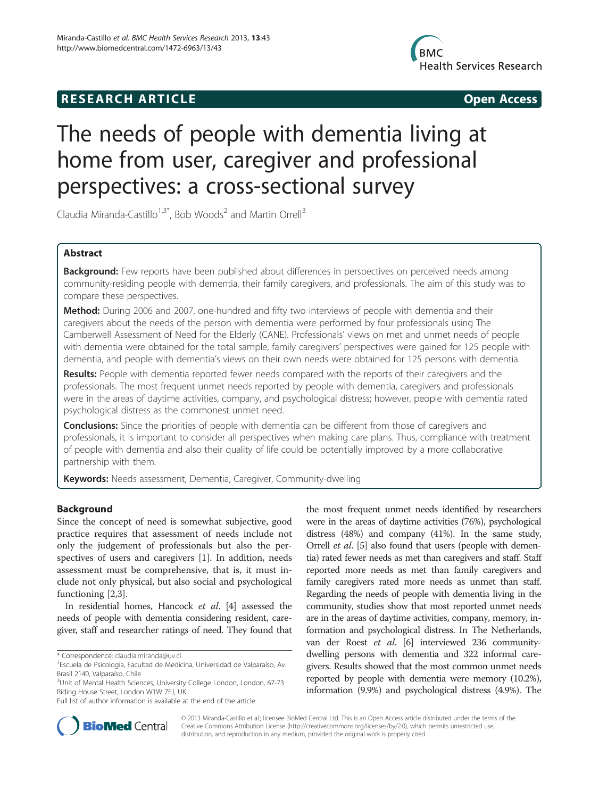## **RESEARCH ARTICLE Example 2018 12:00 Open Access**



# The needs of people with dementia living at home from user, caregiver and professional perspectives: a cross-sectional survey

Claudia Miranda-Castillo<sup>1,3\*</sup>, Bob Woods<sup>2</sup> and Martin Orrell<sup>3</sup>

## Abstract

Background: Few reports have been published about differences in perspectives on perceived needs among community-residing people with dementia, their family caregivers, and professionals. The aim of this study was to compare these perspectives.

Method: During 2006 and 2007, one-hundred and fifty two interviews of people with dementia and their caregivers about the needs of the person with dementia were performed by four professionals using The Camberwell Assessment of Need for the Elderly (CANE). Professionals' views on met and unmet needs of people with dementia were obtained for the total sample, family caregivers' perspectives were gained for 125 people with dementia, and people with dementia's views on their own needs were obtained for 125 persons with dementia.

Results: People with dementia reported fewer needs compared with the reports of their caregivers and the professionals. The most frequent unmet needs reported by people with dementia, caregivers and professionals were in the areas of daytime activities, company, and psychological distress; however, people with dementia rated psychological distress as the commonest unmet need.

**Conclusions:** Since the priorities of people with dementia can be different from those of caregivers and professionals, it is important to consider all perspectives when making care plans. Thus, compliance with treatment of people with dementia and also their quality of life could be potentially improved by a more collaborative partnership with them.

Keywords: Needs assessment, Dementia, Caregiver, Community-dwelling

## Background

Since the concept of need is somewhat subjective, good practice requires that assessment of needs include not only the judgement of professionals but also the perspectives of users and caregivers [[1\]](#page-8-0). In addition, needs assessment must be comprehensive, that is, it must include not only physical, but also social and psychological functioning [[2,3\]](#page-8-0).

In residential homes, Hancock et al. [[4](#page-8-0)] assessed the needs of people with dementia considering resident, caregiver, staff and researcher ratings of need. They found that

the most frequent unmet needs identified by researchers were in the areas of daytime activities (76%), psychological distress (48%) and company (41%). In the same study, Orrell et al. [[5](#page-8-0)] also found that users (people with dementia) rated fewer needs as met than caregivers and staff. Staff reported more needs as met than family caregivers and family caregivers rated more needs as unmet than staff. Regarding the needs of people with dementia living in the community, studies show that most reported unmet needs are in the areas of daytime activities, company, memory, information and psychological distress. In The Netherlands, van der Roest et al. [[6\]](#page-8-0) interviewed 236 communitydwelling persons with dementia and 322 informal caregivers. Results showed that the most common unmet needs reported by people with dementia were memory (10.2%), information (9.9%) and psychological distress (4.9%). The



© 2013 Miranda-Castillo et al.; licensee BioMed Central Ltd. This is an Open Access article distributed under the terms of the Creative Commons Attribution License (<http://creativecommons.org/licenses/by/2.0>), which permits unrestricted use, distribution, and reproduction in any medium, provided the original work is properly cited.

<sup>\*</sup> Correspondence: [claudia.miranda@uv.cl](mailto:claudia.miranda@uv.cl) <sup>1</sup>

Escuela de Psicología, Facultad de Medicina, Universidad de Valparaíso, Av. Brasil 2140, Valparaíso, Chile

<sup>&</sup>lt;sup>3</sup>Unit of Mental Health Sciences, University College London, London, 67-73 Riding House Street, London W1W 7EJ, UK

Full list of author information is available at the end of the article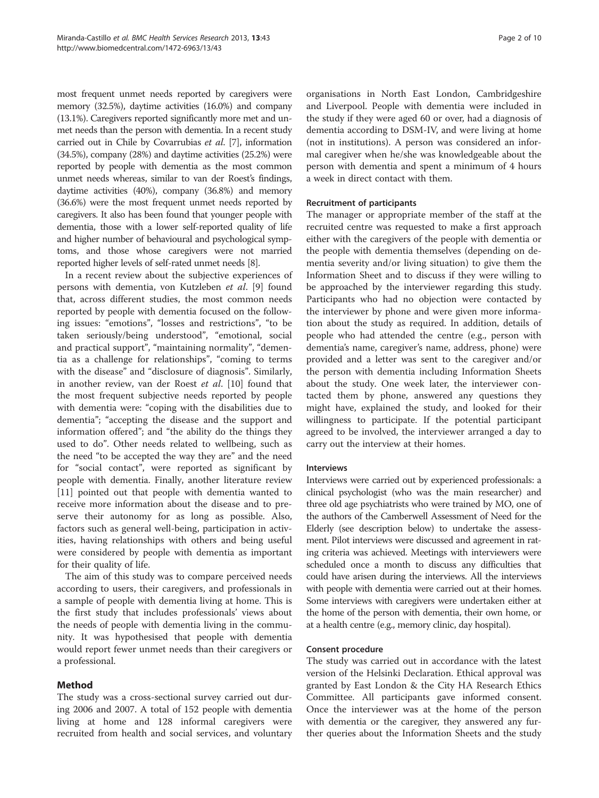most frequent unmet needs reported by caregivers were memory (32.5%), daytime activities (16.0%) and company (13.1%). Caregivers reported significantly more met and unmet needs than the person with dementia. In a recent study carried out in Chile by Covarrubias et al. [[7](#page-8-0)], information (34.5%), company (28%) and daytime activities (25.2%) were reported by people with dementia as the most common unmet needs whereas, similar to van der Roest's findings, daytime activities (40%), company (36.8%) and memory (36.6%) were the most frequent unmet needs reported by caregivers. It also has been found that younger people with dementia, those with a lower self-reported quality of life and higher number of behavioural and psychological symptoms, and those whose caregivers were not married reported higher levels of self-rated unmet needs [\[8\]](#page-8-0).

In a recent review about the subjective experiences of persons with dementia, von Kutzleben et al. [\[9\]](#page-8-0) found that, across different studies, the most common needs reported by people with dementia focused on the following issues: "emotions", "losses and restrictions", "to be taken seriously/being understood", "emotional, social and practical support", "maintaining normality", "dementia as a challenge for relationships", "coming to terms with the disease" and "disclosure of diagnosis". Similarly, in another review, van der Roest et al. [\[10\]](#page-8-0) found that the most frequent subjective needs reported by people with dementia were: "coping with the disabilities due to dementia"; "accepting the disease and the support and information offered"; and "the ability do the things they used to do". Other needs related to wellbeing, such as the need "to be accepted the way they are" and the need for "social contact", were reported as significant by people with dementia. Finally, another literature review [[11\]](#page-8-0) pointed out that people with dementia wanted to receive more information about the disease and to preserve their autonomy for as long as possible. Also, factors such as general well-being, participation in activities, having relationships with others and being useful were considered by people with dementia as important for their quality of life.

The aim of this study was to compare perceived needs according to users, their caregivers, and professionals in a sample of people with dementia living at home. This is the first study that includes professionals' views about the needs of people with dementia living in the community. It was hypothesised that people with dementia would report fewer unmet needs than their caregivers or a professional.

## Method

The study was a cross-sectional survey carried out during 2006 and 2007. A total of 152 people with dementia living at home and 128 informal caregivers were recruited from health and social services, and voluntary

organisations in North East London, Cambridgeshire and Liverpool. People with dementia were included in the study if they were aged 60 or over, had a diagnosis of dementia according to DSM-IV, and were living at home (not in institutions). A person was considered an informal caregiver when he/she was knowledgeable about the person with dementia and spent a minimum of 4 hours a week in direct contact with them.

## Recruitment of participants

The manager or appropriate member of the staff at the recruited centre was requested to make a first approach either with the caregivers of the people with dementia or the people with dementia themselves (depending on dementia severity and/or living situation) to give them the Information Sheet and to discuss if they were willing to be approached by the interviewer regarding this study. Participants who had no objection were contacted by the interviewer by phone and were given more information about the study as required. In addition, details of people who had attended the centre (e.g., person with dementia's name, caregiver's name, address, phone) were provided and a letter was sent to the caregiver and/or the person with dementia including Information Sheets about the study. One week later, the interviewer contacted them by phone, answered any questions they might have, explained the study, and looked for their willingness to participate. If the potential participant agreed to be involved, the interviewer arranged a day to carry out the interview at their homes.

## Interviews

Interviews were carried out by experienced professionals: a clinical psychologist (who was the main researcher) and three old age psychiatrists who were trained by MO, one of the authors of the Camberwell Assessment of Need for the Elderly (see description below) to undertake the assessment. Pilot interviews were discussed and agreement in rating criteria was achieved. Meetings with interviewers were scheduled once a month to discuss any difficulties that could have arisen during the interviews. All the interviews with people with dementia were carried out at their homes. Some interviews with caregivers were undertaken either at the home of the person with dementia, their own home, or at a health centre (e.g., memory clinic, day hospital).

## Consent procedure

The study was carried out in accordance with the latest version of the Helsinki Declaration. Ethical approval was granted by East London & the City HA Research Ethics Committee. All participants gave informed consent. Once the interviewer was at the home of the person with dementia or the caregiver, they answered any further queries about the Information Sheets and the study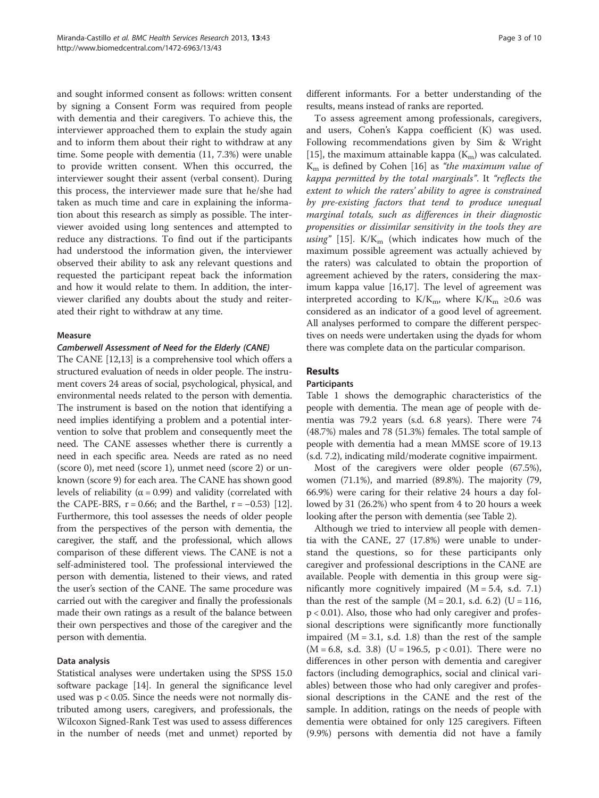and sought informed consent as follows: written consent by signing a Consent Form was required from people with dementia and their caregivers. To achieve this, the interviewer approached them to explain the study again and to inform them about their right to withdraw at any time. Some people with dementia (11, 7.3%) were unable to provide written consent. When this occurred, the interviewer sought their assent (verbal consent). During this process, the interviewer made sure that he/she had taken as much time and care in explaining the information about this research as simply as possible. The interviewer avoided using long sentences and attempted to reduce any distractions. To find out if the participants had understood the information given, the interviewer observed their ability to ask any relevant questions and requested the participant repeat back the information and how it would relate to them. In addition, the interviewer clarified any doubts about the study and reiterated their right to withdraw at any time.

#### Measure

#### Camberwell Assessment of Need for the Elderly (CANE)

The CANE [\[12,13](#page-8-0)] is a comprehensive tool which offers a structured evaluation of needs in older people. The instrument covers 24 areas of social, psychological, physical, and environmental needs related to the person with dementia. The instrument is based on the notion that identifying a need implies identifying a problem and a potential intervention to solve that problem and consequently meet the need. The CANE assesses whether there is currently a need in each specific area. Needs are rated as no need (score 0), met need (score 1), unmet need (score 2) or unknown (score 9) for each area. The CANE has shown good levels of reliability ( $α = 0.99$ ) and validity (correlated with the CAPE-BRS,  $r = 0.66$ ; and the Barthel,  $r = -0.53$  [[12](#page-8-0)]. Furthermore, this tool assesses the needs of older people from the perspectives of the person with dementia, the caregiver, the staff, and the professional, which allows comparison of these different views. The CANE is not a self-administered tool. The professional interviewed the person with dementia, listened to their views, and rated the user's section of the CANE. The same procedure was carried out with the caregiver and finally the professionals made their own ratings as a result of the balance between their own perspectives and those of the caregiver and the person with dementia.

#### Data analysis

Statistical analyses were undertaken using the SPSS 15.0 software package [\[14](#page-8-0)]. In general the significance level used was  $p < 0.05$ . Since the needs were not normally distributed among users, caregivers, and professionals, the Wilcoxon Signed-Rank Test was used to assess differences in the number of needs (met and unmet) reported by

different informants. For a better understanding of the results, means instead of ranks are reported.

To assess agreement among professionals, caregivers, and users, Cohen's Kappa coefficient (K) was used. Following recommendations given by Sim & Wright [[15\]](#page-8-0), the maximum attainable kappa  $(K<sub>m</sub>)$  was calculated.  $K<sub>m</sub>$  is defined by Cohen [[16\]](#page-8-0) as "the maximum value of kappa permitted by the total marginals". It "reflects the extent to which the raters' ability to agree is constrained by pre-existing factors that tend to produce unequal marginal totals, such as differences in their diagnostic propensities or dissimilar sensitivity in the tools they are using" [[15\]](#page-8-0).  $K/K_m$  (which indicates how much of the maximum possible agreement was actually achieved by the raters) was calculated to obtain the proportion of agreement achieved by the raters, considering the maximum kappa value [[16,17\]](#page-8-0). The level of agreement was interpreted according to K/K<sub>m</sub>, where K/K<sub>m</sub> ≥0.6 was considered as an indicator of a good level of agreement. All analyses performed to compare the different perspectives on needs were undertaken using the dyads for whom there was complete data on the particular comparison.

## Results

## Participants

Table [1](#page-3-0) shows the demographic characteristics of the people with dementia. The mean age of people with dementia was 79.2 years (s.d. 6.8 years). There were 74 (48.7%) males and 78 (51.3%) females. The total sample of people with dementia had a mean MMSE score of 19.13 (s.d. 7.2), indicating mild/moderate cognitive impairment.

Most of the caregivers were older people (67.5%), women (71.1%), and married (89.8%). The majority (79, 66.9%) were caring for their relative 24 hours a day followed by 31 (26.2%) who spent from 4 to 20 hours a week looking after the person with dementia (see Table [2\)](#page-3-0).

Although we tried to interview all people with dementia with the CANE, 27 (17.8%) were unable to understand the questions, so for these participants only caregiver and professional descriptions in the CANE are available. People with dementia in this group were significantly more cognitively impaired  $(M = 5.4, s.d. 7.1)$ than the rest of the sample  $(M = 20.1, s.d. 6.2)$   $(U = 116,$ p < 0.01). Also, those who had only caregiver and professional descriptions were significantly more functionally impaired  $(M = 3.1, s.d. 1.8)$  than the rest of the sample  $(M = 6.8, s.d. 3.8)$   $(U = 196.5, p < 0.01)$ . There were no differences in other person with dementia and caregiver factors (including demographics, social and clinical variables) between those who had only caregiver and professional descriptions in the CANE and the rest of the sample. In addition, ratings on the needs of people with dementia were obtained for only 125 caregivers. Fifteen (9.9%) persons with dementia did not have a family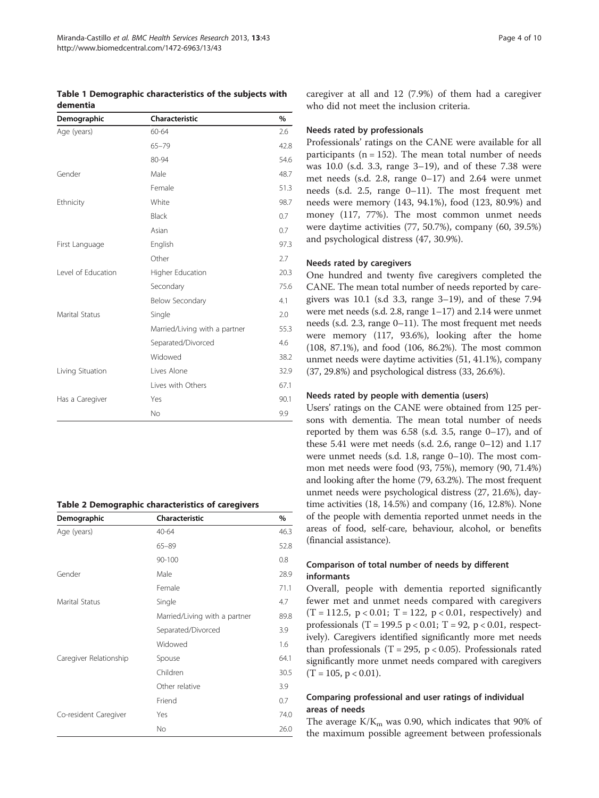<span id="page-3-0"></span>Table 1 Demographic characteristics of the subjects with dementia

| Demographic           | <b>Characteristic</b>         | %    |
|-----------------------|-------------------------------|------|
| Age (years)           | 60-64                         | 2.6  |
|                       | $65 - 79$                     | 42.8 |
|                       | 80-94                         | 54.6 |
| Gender                | Male                          | 48.7 |
|                       | Female                        | 51.3 |
| Ethnicity             | White                         | 98.7 |
|                       | Black                         | 0.7  |
|                       | Asian                         | 0.7  |
| First Language        | English                       | 97.3 |
|                       | Other                         | 2.7  |
| Level of Education    | Higher Education              | 20.3 |
|                       | Secondary                     | 75.6 |
|                       | Below Secondary               | 4.1  |
| <b>Marital Status</b> | Single                        | 2.0  |
|                       | Married/Living with a partner | 55.3 |
|                       | Separated/Divorced            | 4.6  |
|                       | Widowed                       | 38.2 |
| Living Situation      | Lives Alone                   | 32.9 |
|                       | Lives with Others             | 67.1 |
| Has a Caregiver       | Yes                           | 90.1 |
|                       | <b>No</b>                     | 9.9  |

#### Table 2 Demographic characteristics of caregivers

| Demographic            | Characteristic                | %    |
|------------------------|-------------------------------|------|
| Age (years)            | 40-64                         | 46.3 |
|                        | $65 - 89$                     | 52.8 |
|                        | $90 - 100$                    | 0.8  |
| Gender                 | Male                          | 28.9 |
|                        | Female                        | 71.1 |
| Marital Status         | Single                        | 4.7  |
|                        | Married/Living with a partner | 89.8 |
|                        | Separated/Divorced            | 3.9  |
|                        | Widowed                       | 1.6  |
| Caregiver Relationship | Spouse                        | 64.1 |
|                        | Children                      | 30.5 |
|                        | Other relative                | 3.9  |
|                        | Friend                        | 0.7  |
| Co-resident Caregiver  | Yes                           | 74.0 |
|                        | No                            | 26.0 |

caregiver at all and 12 (7.9%) of them had a caregiver who did not meet the inclusion criteria.

#### Needs rated by professionals

Professionals' ratings on the CANE were available for all participants ( $n = 152$ ). The mean total number of needs was 10.0 (s.d. 3.3, range 3–19), and of these 7.38 were met needs (s.d. 2.8, range 0–17) and 2.64 were unmet needs (s.d. 2.5, range 0–11). The most frequent met needs were memory (143, 94.1%), food (123, 80.9%) and money (117, 77%). The most common unmet needs were daytime activities (77, 50.7%), company (60, 39.5%) and psychological distress (47, 30.9%).

#### Needs rated by caregivers

One hundred and twenty five caregivers completed the CANE. The mean total number of needs reported by caregivers was 10.1 (s.d 3.3, range 3–19), and of these 7.94 were met needs (s.d. 2.8, range 1–17) and 2.14 were unmet needs (s.d. 2.3, range 0–11). The most frequent met needs were memory (117, 93.6%), looking after the home (108, 87.1%), and food (106, 86.2%). The most common unmet needs were daytime activities (51, 41.1%), company (37, 29.8%) and psychological distress (33, 26.6%).

#### Needs rated by people with dementia (users)

Users' ratings on the CANE were obtained from 125 persons with dementia. The mean total number of needs reported by them was  $6.58$  (s.d. 3.5, range  $0-17$ ), and of these 5.41 were met needs (s.d. 2.6, range  $0-12$ ) and 1.17 were unmet needs (s.d. 1.8, range 0–10). The most common met needs were food (93, 75%), memory (90, 71.4%) and looking after the home (79, 63.2%). The most frequent unmet needs were psychological distress (27, 21.6%), daytime activities (18, 14.5%) and company (16, 12.8%). None of the people with dementia reported unmet needs in the areas of food, self-care, behaviour, alcohol, or benefits (financial assistance).

## Comparison of total number of needs by different informants

Overall, people with dementia reported significantly fewer met and unmet needs compared with caregivers  $(T = 112.5, p < 0.01; T = 122, p < 0.01, respectively)$  and professionals (T = 199.5  $p < 0.01$ ; T = 92,  $p < 0.01$ , respectively). Caregivers identified significantly more met needs than professionals (T = 295, p < 0.05). Professionals rated significantly more unmet needs compared with caregivers  $(T = 105, p < 0.01).$ 

## Comparing professional and user ratings of individual areas of needs

The average  $K/K<sub>m</sub>$  was 0.90, which indicates that 90% of the maximum possible agreement between professionals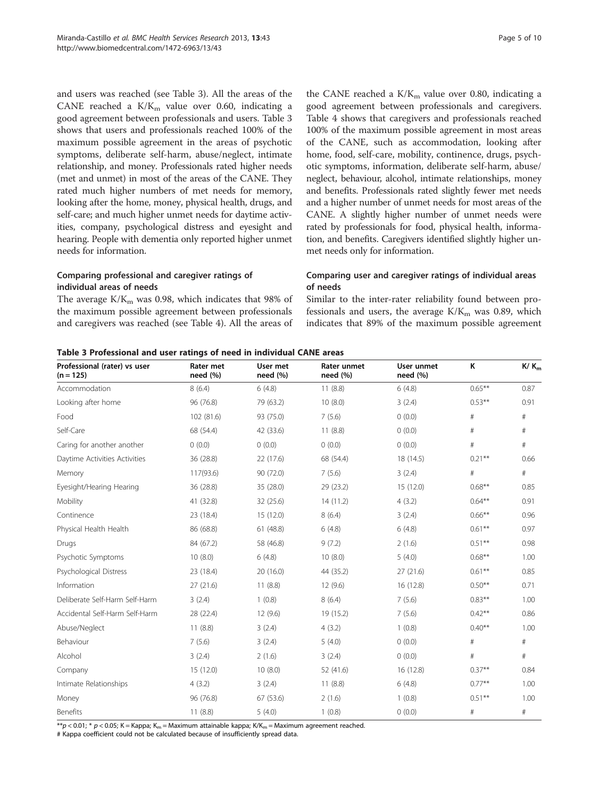and users was reached (see Table 3). All the areas of the CANE reached a  $K/K_m$  value over 0.60, indicating a good agreement between professionals and users. Table 3 shows that users and professionals reached 100% of the maximum possible agreement in the areas of psychotic symptoms, deliberate self-harm, abuse/neglect, intimate relationship, and money. Professionals rated higher needs (met and unmet) in most of the areas of the CANE. They rated much higher numbers of met needs for memory, looking after the home, money, physical health, drugs, and self-care; and much higher unmet needs for daytime activities, company, psychological distress and eyesight and hearing. People with dementia only reported higher unmet needs for information.

## Comparing professional and caregiver ratings of individual areas of needs

The average  $K/K<sub>m</sub>$  was 0.98, which indicates that 98% of the maximum possible agreement between professionals and caregivers was reached (see Table [4](#page-5-0)). All the areas of

good agreement between professionals and caregivers. Table [4](#page-5-0) shows that caregivers and professionals reached 100% of the maximum possible agreement in most areas of the CANE, such as accommodation, looking after home, food, self-care, mobility, continence, drugs, psychotic symptoms, information, deliberate self-harm, abuse/ neglect, behaviour, alcohol, intimate relationships, money and benefits. Professionals rated slightly fewer met needs and a higher number of unmet needs for most areas of the CANE. A slightly higher number of unmet needs were rated by professionals for food, physical health, information, and benefits. Caregivers identified slightly higher unmet needs only for information.

## Comparing user and caregiver ratings of individual areas of needs

Similar to the inter-rater reliability found between professionals and users, the average  $K/K<sub>m</sub>$  was 0.89, which indicates that 89% of the maximum possible agreement

#### Table 3 Professional and user ratings of need in individual CANE areas

| Professional (rater) vs user<br>$(n = 125)$ | Rater met<br>need (%) | User met<br>need (%) | Rater unmet<br>need (%) | User unmet<br>need (%) | К         | $K/K_m$ |
|---------------------------------------------|-----------------------|----------------------|-------------------------|------------------------|-----------|---------|
| Accommodation                               | 8(6.4)                | 6(4.8)               | 11(8.8)                 | 6(4.8)                 | $0.65***$ | 0.87    |
| Looking after home                          | 96 (76.8)             | 79 (63.2)            | 10(8.0)                 | 3(2.4)                 | $0.53***$ | 0.91    |
| Food                                        | 102 (81.6)            | 93 (75.0)            | 7(5.6)                  | 0(0.0)                 | $\#$      | #       |
| Self-Care                                   | 68 (54.4)             | 42 (33.6)            | 11(8.8)                 | 0(0.0)                 | $\#$      | $\#$    |
| Caring for another another                  | 0(0.0)                | 0(0.0)               | (0.0)                   | 0(0.0)                 | #         | #       |
| Daytime Activities Activities               | 36 (28.8)             | 22 (17.6)            | 68 (54.4)               | 18 (14.5)              | $0.21***$ | 0.66    |
| Memory                                      | 117(93.6)             | 90 (72.0)            | 7(5.6)                  | 3(2.4)                 | #         | #       |
| Eyesight/Hearing Hearing                    | 36 (28.8)             | 35 (28.0)            | 29 (23.2)               | 15 (12.0)              | $0.68***$ | 0.85    |
| Mobility                                    | 41 (32.8)             | 32 (25.6)            | 14(11.2)                | 4(3.2)                 | $0.64***$ | 0.91    |
| Continence                                  | 23 (18.4)             | 15 (12.0)            | 8(6.4)                  | 3(2.4)                 | $0.66***$ | 0.96    |
| Physical Health Health                      | 86 (68.8)             | 61(48.8)             | 6(4.8)                  | 6(4.8)                 | $0.61***$ | 0.97    |
| Drugs                                       | 84 (67.2)             | 58 (46.8)            | 9(7.2)                  | 2(1.6)                 | $0.51***$ | 0.98    |
| Psychotic Symptoms                          | 10(8.0)               | 6(4.8)               | 10(8.0)                 | 5(4.0)                 | $0.68***$ | 1.00    |
| <b>Psychological Distress</b>               | 23 (18.4)             | 20(16.0)             | 44 (35.2)               | 27(21.6)               | $0.61***$ | 0.85    |
| Information                                 | 27(21.6)              | 11(8.8)              | 12 (9.6)                | 16 (12.8)              | $0.50**$  | 0.71    |
| Deliberate Self-Harm Self-Harm              | 3(2.4)                | 1(0.8)               | 8(6.4)                  | 7(5.6)                 | $0.83***$ | 1.00    |
| Accidental Self-Harm Self-Harm              | 28 (22.4)             | 12(9.6)              | 19 (15.2)               | 7(5.6)                 | $0.42***$ | 0.86    |
| Abuse/Neglect                               | 11(8.8)               | 3(2.4)               | 4(3.2)                  | 1(0.8)                 | $0.40**$  | 1.00    |
| Behaviour                                   | 7(5.6)                | 3(2.4)               | 5(4.0)                  | 0(0.0)                 | $\#$      | $\#$    |
| Alcohol                                     | 3(2.4)                | 2(1.6)               | 3(2.4)                  | 0(0.0)                 | #         | #       |
| Company                                     | 15(12.0)              | 10(8.0)              | 52 (41.6)               | 16 (12.8)              | $0.37***$ | 0.84    |
| Intimate Relationships                      | 4(3.2)                | 3(2.4)               | 11(8.8)                 | 6(4.8)                 | $0.77***$ | 1.00    |
| Money                                       | 96 (76.8)             | 67 (53.6)            | 2(1.6)                  | 1(0.8)                 | $0.51***$ | 1.00    |
| Benefits                                    | 11(8.8)               | 5(4.0)               | 1(0.8)                  | 0(0.0)                 | $\#$      | $\#$    |

\*\*p < 0.01; \* p < 0.05; K = Kappa; K<sub>m</sub> = Maximum attainable kappa; K/K<sub>m</sub> = Maximum agreement reached.

# Kappa coefficient could not be calculated because of insufficiently spread data.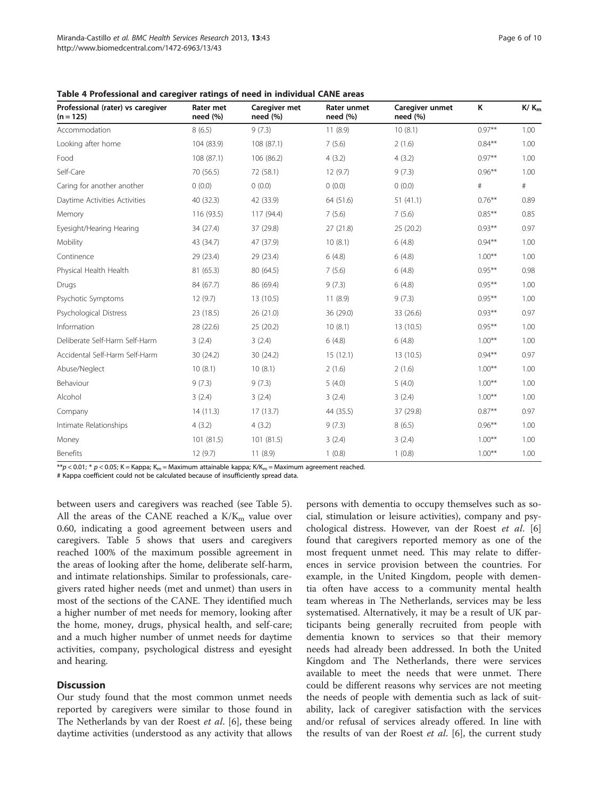| Professional (rater) vs caregiver<br>$(n = 125)$ | Rater met<br>need (%) | <b>Caregiver met</b><br>need (%) | Rater unmet<br>need (%) | Caregiver unmet<br>need (%) | Κ         | $K/K_m$ |
|--------------------------------------------------|-----------------------|----------------------------------|-------------------------|-----------------------------|-----------|---------|
| Accommodation                                    | 8(6.5)                | 9(7.3)                           | 11(8.9)                 | 10(8.1)                     | $0.97**$  | 1.00    |
| Looking after home                               | 104 (83.9)            | 108 (87.1)                       | 7(5.6)                  | 2(1.6)                      | $0.84***$ | 1.00    |
| Food                                             | 108 (87.1)            | 106 (86.2)                       | 4(3.2)                  | 4(3.2)                      | $0.97**$  | 1.00    |
| Self-Care                                        | 70 (56.5)             | 72 (58.1)                        | 12(9.7)                 | 9(7.3)                      | $0.96***$ | 1.00    |
| Caring for another another                       | 0(0.0)                | 0(0.0)                           | 0(0.0)                  | 0(0.0)                      | #         | $\#$    |
| Daytime Activities Activities                    | 40 (32.3)             | 42 (33.9)                        | 64 (51.6)               | 51(41.1)                    | $0.76***$ | 0.89    |
| Memory                                           | 116 (93.5)            | 117 (94.4)                       | 7(5.6)                  | 7(5.6)                      | $0.85***$ | 0.85    |
| Eyesight/Hearing Hearing                         | 34 (27.4)             | 37 (29.8)                        | 27 (21.8)               | 25 (20.2)                   | $0.93**$  | 0.97    |
| Mobility                                         | 43 (34.7)             | 47 (37.9)                        | 10(8.1)                 | 6(4.8)                      | $0.94***$ | 1.00    |
| Continence                                       | 29 (23.4)             | 29 (23.4)                        | 6(4.8)                  | 6(4.8)                      | $1.00**$  | 1.00    |
| Physical Health Health                           | 81 (65.3)             | 80 (64.5)                        | 7(5.6)                  | 6(4.8)                      | $0.95***$ | 0.98    |
| Drugs                                            | 84 (67.7)             | 86 (69.4)                        | 9(7.3)                  | 6(4.8)                      | $0.95***$ | 1.00    |
| Psychotic Symptoms                               | 12(9.7)               | 13 (10.5)                        | 11(8.9)                 | 9(7.3)                      | $0.95***$ | 1.00    |
| Psychological Distress                           | 23 (18.5)             | 26 (21.0)                        | 36 (29.0)               | 33 (26.6)                   | $0.93**$  | 0.97    |
| Information                                      | 28 (22.6)             | 25 (20.2)                        | 10(8.1)                 | 13 (10.5)                   | $0.95***$ | 1.00    |
| Deliberate Self-Harm Self-Harm                   | 3(2.4)                | 3(2.4)                           | 6(4.8)                  | 6(4.8)                      | $1.00**$  | 1.00    |
| Accidental Self-Harm Self-Harm                   | 30(24.2)              | 30(24.2)                         | 15(12.1)                | 13 (10.5)                   | $0.94***$ | 0.97    |
| Abuse/Neglect                                    | 10(8.1)               | 10(8.1)                          | 2(1.6)                  | 2(1.6)                      | $1.00**$  | 1.00    |
| Behaviour                                        | 9(7.3)                | 9(7.3)                           | 5(4.0)                  | 5(4.0)                      | $1.00**$  | 1.00    |
| Alcohol                                          | 3(2.4)                | 3(2.4)                           | 3(2.4)                  | 3(2.4)                      | $1.00**$  | 1.00    |
| Company                                          | 14(11.3)              | 17(13.7)                         | 44 (35.5)               | 37 (29.8)                   | $0.87**$  | 0.97    |
| Intimate Relationships                           | 4(3.2)                | 4(3.2)                           | 9(7.3)                  | 8(6.5)                      | $0.96***$ | 1.00    |
| Money                                            | 101 (81.5)            | 101 (81.5)                       | 3(2.4)                  | 3(2.4)                      | $1.00**$  | 1.00    |
| <b>Benefits</b>                                  | 12(9.7)               | 11(8.9)                          | 1(0.8)                  | 1(0.8)                      | $1.00**$  | 1.00    |

<span id="page-5-0"></span>Table 4 Professional and caregiver ratings of need in individual CANE areas

 $*p$  < 0.01;  $* p$  < 0.05; K = Kappa; K<sub>m</sub> = Maximum attainable kappa; K/K<sub>m</sub> = Maximum agreement reached.

# Kappa coefficient could not be calculated because of insufficiently spread data.

between users and caregivers was reached (see Table [5](#page-6-0)). All the areas of the CANE reached a  $K/K_m$  value over 0.60, indicating a good agreement between users and caregivers. Table [5](#page-6-0) shows that users and caregivers reached 100% of the maximum possible agreement in the areas of looking after the home, deliberate self-harm, and intimate relationships. Similar to professionals, caregivers rated higher needs (met and unmet) than users in most of the sections of the CANE. They identified much a higher number of met needs for memory, looking after the home, money, drugs, physical health, and self-care; and a much higher number of unmet needs for daytime activities, company, psychological distress and eyesight and hearing.

## **Discussion**

Our study found that the most common unmet needs reported by caregivers were similar to those found in The Netherlands by van der Roest et al. [\[6](#page-8-0)], these being daytime activities (understood as any activity that allows

persons with dementia to occupy themselves such as social, stimulation or leisure activities), company and psychological distress. However, van der Roest et al. [\[6](#page-8-0)] found that caregivers reported memory as one of the most frequent unmet need. This may relate to differences in service provision between the countries. For example, in the United Kingdom, people with dementia often have access to a community mental health team whereas in The Netherlands, services may be less systematised. Alternatively, it may be a result of UK participants being generally recruited from people with dementia known to services so that their memory needs had already been addressed. In both the United Kingdom and The Netherlands, there were services available to meet the needs that were unmet. There could be different reasons why services are not meeting the needs of people with dementia such as lack of suitability, lack of caregiver satisfaction with the services and/or refusal of services already offered. In line with the results of van der Roest et al. [\[6](#page-8-0)], the current study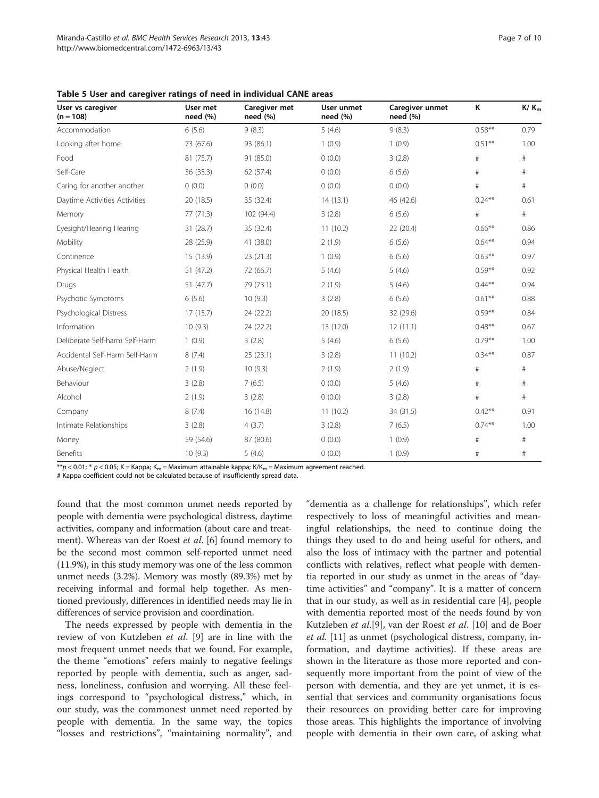<span id="page-6-0"></span>

| Table 5 User and caregiver ratings of need in individual CANE areas |  |  |  |  |  |
|---------------------------------------------------------------------|--|--|--|--|--|
|---------------------------------------------------------------------|--|--|--|--|--|

| User vs caregiver<br>$(n = 108)$ | User met<br>need (%) | Caregiver met<br>need (%) | User unmet<br>need (%) | Caregiver unmet<br>need (%) | Κ         | $K/K_m$ |
|----------------------------------|----------------------|---------------------------|------------------------|-----------------------------|-----------|---------|
| Accommodation                    | 6(5.6)               | 9(8.3)                    | 5(4.6)                 | 9(8.3)                      | $0.58***$ | 0.79    |
| Looking after home               | 73 (67.6)            | 93 (86.1)                 | 1(0.9)                 | 1(0.9)                      | $0.51***$ | 1.00    |
| Food                             | 81 (75.7)            | 91 (85.0)                 | 0(0.0)                 | 3(2.8)                      | #         | $\#$    |
| Self-Care                        | 36 (33.3)            | 62 (57.4)                 | 0(0.0)                 | 6(5.6)                      | #         | $\#$    |
| Caring for another another       | 0(0.0)               | (0.0)                     | 0(0.0)                 | (0.0)                       | #         | #       |
| Daytime Activities Activities    | 20 (18.5)            | 35 (32.4)                 | 14(13.1)               | 46 (42.6)                   | $0.24***$ | 0.61    |
| Memory                           | 77 (71.3)            | 102 (94.4)                | 3(2.8)                 | 6(5.6)                      | #         | $\#$    |
| Eyesight/Hearing Hearing         | 31 (28.7)            | 35 (32.4)                 | 11(10.2)               | 22 (20.4)                   | $0.66***$ | 0.86    |
| Mobility                         | 28 (25.9)            | 41 (38.0)                 | 2(1.9)                 | 6(5.6)                      | $0.64***$ | 0.94    |
| Continence                       | 15 (13.9)            | 23 (21.3)                 | 1(0.9)                 | 6(5.6)                      | $0.63***$ | 0.97    |
| Physical Health Health           | 51 (47.2)            | 72 (66.7)                 | 5(4.6)                 | 5(4.6)                      | $0.59***$ | 0.92    |
| Drugs                            | 51 (47.7)            | 79 (73.1)                 | 2(1.9)                 | 5(4.6)                      | $0.44***$ | 0.94    |
| Psychotic Symptoms               | 6(5.6)               | 10(9.3)                   | 3(2.8)                 | 6(5.6)                      | $0.61***$ | 0.88    |
| Psychological Distress           | 17(15.7)             | 24 (22.2)                 | 20 (18.5)              | 32 (29.6)                   | $0.59***$ | 0.84    |
| Information                      | 10(9.3)              | 24 (22.2)                 | 13 (12.0)              | 12(11.1)                    | $0.48***$ | 0.67    |
| Deliberate Self-harm Self-Harm   | 1(0.9)               | 3(2.8)                    | 5(4.6)                 | 6(5.6)                      | $0.79***$ | 1.00    |
| Accidental Self-Harm Self-Harm   | 8(7.4)               | 25 (23.1)                 | 3(2.8)                 | 11(10.2)                    | $0.34***$ | 0.87    |
| Abuse/Neglect                    | 2(1.9)               | 10(9.3)                   | 2(1.9)                 | 2(1.9)                      | $\#$      | #       |
| Behaviour                        | 3(2.8)               | 7(6.5)                    | (0.0)                  | 5(4.6)                      | #         | #       |
| Alcohol                          | 2(1.9)               | 3(2.8)                    | (0.0)                  | 3(2.8)                      | #         | $\#$    |
| Company                          | 8(7.4)               | 16 (14.8)                 | 11(10.2)               | 34 (31.5)                   | $0.42***$ | 0.91    |
| Intimate Relationships           | 3(2.8)               | 4(3.7)                    | 3(2.8)                 | 7(6.5)                      | $0.74***$ | 1.00    |
| Money                            | 59 (54.6)            | 87 (80.6)                 | 0(0.0)                 | 1(0.9)                      | $\#$      | $\#$    |
| Benefits                         | 10(9.3)              | 5(4.6)                    | 0(0.0)                 | 1(0.9)                      | #         | $\#$    |

\*\*p < 0.01; \* p < 0.05; K = Kappa; K<sub>m</sub> = Maximum attainable kappa; K/K<sub>m</sub> = Maximum agreement reached.

# Kappa coefficient could not be calculated because of insufficiently spread data.

found that the most common unmet needs reported by people with dementia were psychological distress, daytime activities, company and information (about care and treatment). Whereas van der Roest et al. [\[6](#page-8-0)] found memory to be the second most common self-reported unmet need (11.9%), in this study memory was one of the less common unmet needs (3.2%). Memory was mostly (89.3%) met by receiving informal and formal help together. As mentioned previously, differences in identified needs may lie in differences of service provision and coordination.

The needs expressed by people with dementia in the review of von Kutzleben et al. [[9](#page-8-0)] are in line with the most frequent unmet needs that we found. For example, the theme "emotions" refers mainly to negative feelings reported by people with dementia, such as anger, sadness, loneliness, confusion and worrying. All these feelings correspond to "psychological distress," which, in our study, was the commonest unmet need reported by people with dementia. In the same way, the topics "losses and restrictions", "maintaining normality", and "dementia as a challenge for relationships", which refer respectively to loss of meaningful activities and meaningful relationships, the need to continue doing the things they used to do and being useful for others, and also the loss of intimacy with the partner and potential conflicts with relatives, reflect what people with dementia reported in our study as unmet in the areas of "daytime activities" and "company". It is a matter of concern that in our study, as well as in residential care [[4](#page-8-0)], people with dementia reported most of the needs found by von Kutzleben *et al*.[[9\]](#page-8-0), van der Roest *et al*. [[10](#page-8-0)] and de Boer et al. [\[11](#page-8-0)] as unmet (psychological distress, company, information, and daytime activities). If these areas are shown in the literature as those more reported and consequently more important from the point of view of the person with dementia, and they are yet unmet, it is essential that services and community organisations focus their resources on providing better care for improving those areas. This highlights the importance of involving people with dementia in their own care, of asking what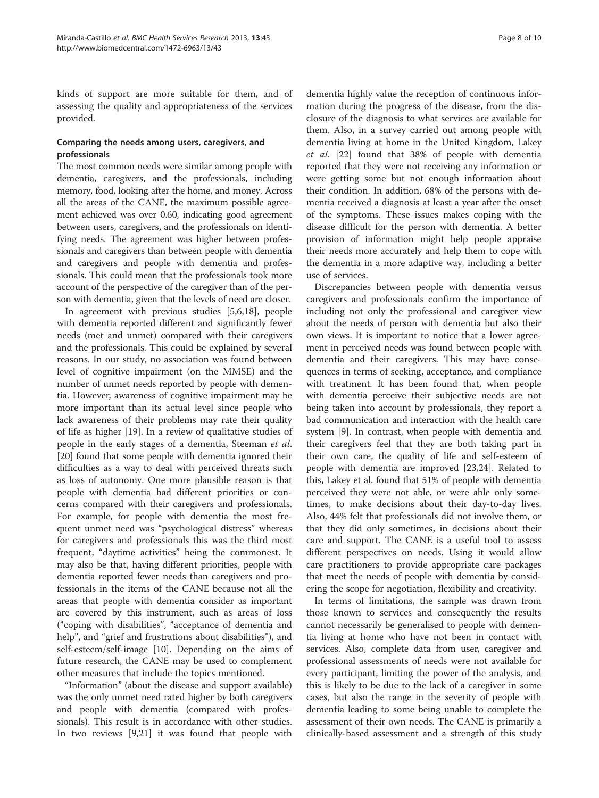kinds of support are more suitable for them, and of assessing the quality and appropriateness of the services provided.

#### Comparing the needs among users, caregivers, and professionals

The most common needs were similar among people with dementia, caregivers, and the professionals, including memory, food, looking after the home, and money. Across all the areas of the CANE, the maximum possible agreement achieved was over 0.60, indicating good agreement between users, caregivers, and the professionals on identifying needs. The agreement was higher between professionals and caregivers than between people with dementia and caregivers and people with dementia and professionals. This could mean that the professionals took more account of the perspective of the caregiver than of the person with dementia, given that the levels of need are closer.

In agreement with previous studies [[5,6,18\]](#page-8-0), people with dementia reported different and significantly fewer needs (met and unmet) compared with their caregivers and the professionals. This could be explained by several reasons. In our study, no association was found between level of cognitive impairment (on the MMSE) and the number of unmet needs reported by people with dementia. However, awareness of cognitive impairment may be more important than its actual level since people who lack awareness of their problems may rate their quality of life as higher [\[19](#page-8-0)]. In a review of qualitative studies of people in the early stages of a dementia, Steeman et al. [[20\]](#page-8-0) found that some people with dementia ignored their difficulties as a way to deal with perceived threats such as loss of autonomy. One more plausible reason is that people with dementia had different priorities or concerns compared with their caregivers and professionals. For example, for people with dementia the most frequent unmet need was "psychological distress" whereas for caregivers and professionals this was the third most frequent, "daytime activities" being the commonest. It may also be that, having different priorities, people with dementia reported fewer needs than caregivers and professionals in the items of the CANE because not all the areas that people with dementia consider as important are covered by this instrument, such as areas of loss ("coping with disabilities", "acceptance of dementia and help", and "grief and frustrations about disabilities"), and self-esteem/self-image [\[10](#page-8-0)]. Depending on the aims of future research, the CANE may be used to complement other measures that include the topics mentioned.

"Information" (about the disease and support available) was the only unmet need rated higher by both caregivers and people with dementia (compared with professionals). This result is in accordance with other studies. In two reviews [[9,21\]](#page-8-0) it was found that people with dementia highly value the reception of continuous information during the progress of the disease, from the disclosure of the diagnosis to what services are available for them. Also, in a survey carried out among people with dementia living at home in the United Kingdom, Lakey et al. [\[22\]](#page-9-0) found that 38% of people with dementia reported that they were not receiving any information or were getting some but not enough information about their condition. In addition, 68% of the persons with dementia received a diagnosis at least a year after the onset of the symptoms. These issues makes coping with the disease difficult for the person with dementia. A better provision of information might help people appraise their needs more accurately and help them to cope with the dementia in a more adaptive way, including a better use of services.

Discrepancies between people with dementia versus caregivers and professionals confirm the importance of including not only the professional and caregiver view about the needs of person with dementia but also their own views. It is important to notice that a lower agreement in perceived needs was found between people with dementia and their caregivers. This may have consequences in terms of seeking, acceptance, and compliance with treatment. It has been found that, when people with dementia perceive their subjective needs are not being taken into account by professionals, they report a bad communication and interaction with the health care system [\[9](#page-8-0)]. In contrast, when people with dementia and their caregivers feel that they are both taking part in their own care, the quality of life and self-esteem of people with dementia are improved [\[23,24\]](#page-9-0). Related to this, Lakey et al. found that 51% of people with dementia perceived they were not able, or were able only sometimes, to make decisions about their day-to-day lives. Also, 44% felt that professionals did not involve them, or that they did only sometimes, in decisions about their care and support. The CANE is a useful tool to assess different perspectives on needs. Using it would allow care practitioners to provide appropriate care packages that meet the needs of people with dementia by considering the scope for negotiation, flexibility and creativity.

In terms of limitations, the sample was drawn from those known to services and consequently the results cannot necessarily be generalised to people with dementia living at home who have not been in contact with services. Also, complete data from user, caregiver and professional assessments of needs were not available for every participant, limiting the power of the analysis, and this is likely to be due to the lack of a caregiver in some cases, but also the range in the severity of people with dementia leading to some being unable to complete the assessment of their own needs. The CANE is primarily a clinically-based assessment and a strength of this study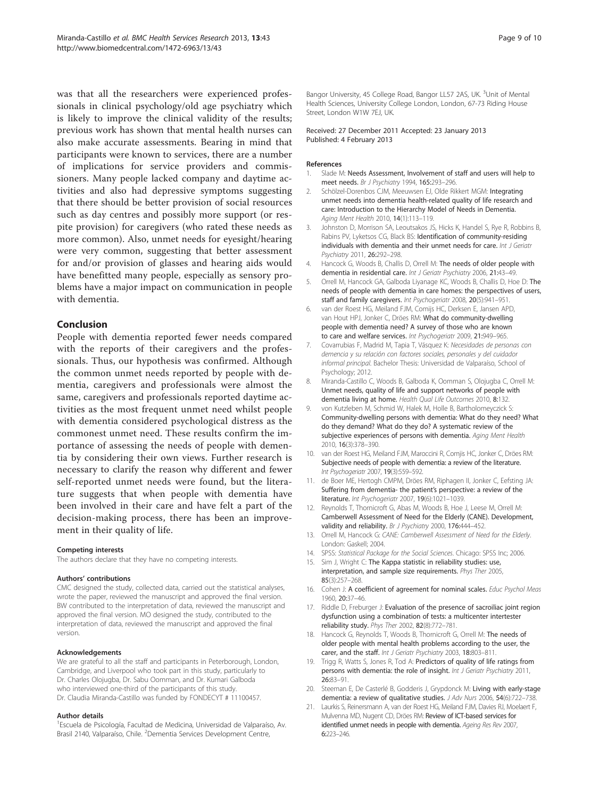<span id="page-8-0"></span>was that all the researchers were experienced professionals in clinical psychology/old age psychiatry which is likely to improve the clinical validity of the results; previous work has shown that mental health nurses can also make accurate assessments. Bearing in mind that participants were known to services, there are a number of implications for service providers and commissioners. Many people lacked company and daytime activities and also had depressive symptoms suggesting that there should be better provision of social resources such as day centres and possibly more support (or respite provision) for caregivers (who rated these needs as more common). Also, unmet needs for eyesight/hearing were very common, suggesting that better assessment for and/or provision of glasses and hearing aids would have benefitted many people, especially as sensory problems have a major impact on communication in people with dementia.

## Conclusion

People with dementia reported fewer needs compared with the reports of their caregivers and the professionals. Thus, our hypothesis was confirmed. Although the common unmet needs reported by people with dementia, caregivers and professionals were almost the same, caregivers and professionals reported daytime activities as the most frequent unmet need whilst people with dementia considered psychological distress as the commonest unmet need. These results confirm the importance of assessing the needs of people with dementia by considering their own views. Further research is necessary to clarify the reason why different and fewer self-reported unmet needs were found, but the literature suggests that when people with dementia have been involved in their care and have felt a part of the decision-making process, there has been an improvement in their quality of life.

#### Competing interests

The authors declare that they have no competing interests.

#### Authors' contributions

CMC designed the study, collected data, carried out the statistical analyses, wrote the paper, reviewed the manuscript and approved the final version. BW contributed to the interpretation of data, reviewed the manuscript and approved the final version. MO designed the study, contributed to the interpretation of data, reviewed the manuscript and approved the final version.

#### Acknowledgements

We are grateful to all the staff and participants in Peterborough, London, Cambridge, and Liverpool who took part in this study, particularly to Dr. Charles Olojugba, Dr. Sabu Oomman, and Dr. Kumari Galboda who interviewed one-third of the participants of this study. Dr. Claudia Miranda-Castillo was funded by FONDECYT # 11100457.

#### Author details

1 Escuela de Psicología, Facultad de Medicina, Universidad de Valparaíso, Av. Brasil 2140, Valparaíso, Chile. <sup>2</sup>Dementia Services Development Centre,

Bangor University, 45 College Road, Bangor LL57 2AS, UK.<sup>3</sup>Unit of Mental Health Sciences, University College London, London, 67-73 Riding House Street, London W1W 7FJ, UK.

#### Received: 27 December 2011 Accepted: 23 January 2013 Published: 4 February 2013

#### References

- 1. Slade M: Needs Assessment, Involvement of staff and users will help to meet needs. Br J Psychiatry 1994, 165:293–296.
- 2. Schölzel-Dorenbos CJM, Meeuwsen EJ, Olde Rikkert MGM: Integrating unmet needs into dementia health-related quality of life research and care: Introduction to the Hierarchy Model of Needs in Dementia. Aging Ment Health 2010, 14(1):113–119.
- 3. Johnston D, Morrison SA, Leoutsakos JS, Hicks K, Handel S, Rye R, Robbins B, Rabins PV, Lyketsos CG, Black BS: Identification of community-residing individuals with dementia and their unmet needs for care. Int J Geriatr Psychiatry 2011, 26:292–298.
- 4. Hancock G, Woods B, Challis D, Orrell M: The needs of older people with dementia in residential care. Int J Geriatr Psychiatry 2006, 21:43-49.
- 5. Orrell M, Hancock GA, Galboda Liyanage KC, Woods B, Challis D, Hoe D: The needs of people with dementia in care homes: the perspectives of users, staff and family caregivers. Int Psychogeriatr 2008, 20(5):941–951.
- 6. van der Roest HG, Meiland FJM, Comijs HC, Derksen E, Jansen APD, van Hout HPJ, Jonker C, Dröes RM: What do community-dwelling people with dementia need? A survey of those who are known to care and welfare services. Int Psychogeriatr 2009, 21:949-965.
- 7. Covarrubias F, Madrid M, Tapia T, Vásquez K: Necesidades de personas con demencia y su relación con factores sociales, personales y del cuidador informal principal. Bachelor Thesis: Universidad de Valparaíso, School of Psychology; 2012.
- 8. Miranda-Castillo C, Woods B, Galboda K, Oomman S, Olojugba C, Orrell M: Unmet needs, quality of life and support networks of people with dementia living at home. Health Qual Life Outcomes 2010, 8:132.
- 9. von Kutzleben M, Schmid W, Halek M, Holle B, Bartholomeyczick S: Community-dwelling persons with dementia: What do they need? What do they demand? What do they do? A systematic review of the subjective experiences of persons with dementia. Aging Ment Health 2010, 16(3):378–390.
- 10. van der Roest HG, Meiland FJM, Maroccini R, Comjis HC, Jonker C, Dröes RM: Subjective needs of people with dementia: a review of the literature. Int Psychogeriatr 2007, 19(3):559–592.
- 11. de Boer ME, Hertogh CMPM, Dröes RM, Riphagen II, Jonker C, Eefsting JA: Suffering from dementia- the patient's perspective: a review of the literature. Int Psychogeriatr 2007, 19(6):1021–1039.
- 12. Reynolds T, Thornicroft G, Abas M, Woods B, Hoe J, Leese M, Orrell M: Camberwell Assessment of Need for the Elderly (CANE). Development, validity and reliability. Br J Psychiatry 2000, 176:444-452.
- 13. Orrell M, Hancock G: CANE: Camberwell Assessment of Need for the Elderly. London: Gaskell; 2004.
- 14. SPSS: Statistical Package for the Social Sciences. Chicago: SPSS Inc; 2006.
- 15. Sim J, Wright C: The Kappa statistic in reliability studies: use, interpretation, and sample size requirements. Phys Ther 2005, 85(3):257–268.
- 16. Cohen J: A coefficient of agreement for nominal scales. Educ Psychol Meas 1960, 20:37–46.
- 17. Riddle D, Freburger J: Evaluation of the presence of sacroiliac joint region dysfunction using a combination of tests: a multicenter intertester reliability study. Phys Ther 2002, 82(8):772–781.
- 18. Hancock G, Reynolds T, Woods B, Thornicroft G, Orrell M: The needs of older people with mental health problems according to the user, the carer, and the staff. Int J Geriatr Psychiatry 2003, 18:803-811.
- 19. Trigg R, Watts S, Jones R, Tod A: Predictors of quality of life ratings from persons with dementia: the role of insight. Int J Geriatr Psychiatry 2011, 26:83–91.
- 20. Steeman E, De Casterlé B, Godderis J, Grypdonck M: Living with early-stage dementia: a review of qualitative studies. J Adv Nurs 2006, 54(6):722-738.
- 21. Laurkis S, Reinersmann A, van der Roest HG, Meiland FJM, Davies RJ, Moelaert F, Mulvenna MD, Nugent CD, Dröes RM: Review of ICT-based services for identified unmet needs in people with dementia. Ageing Res Rev 2007, 6:223–246.